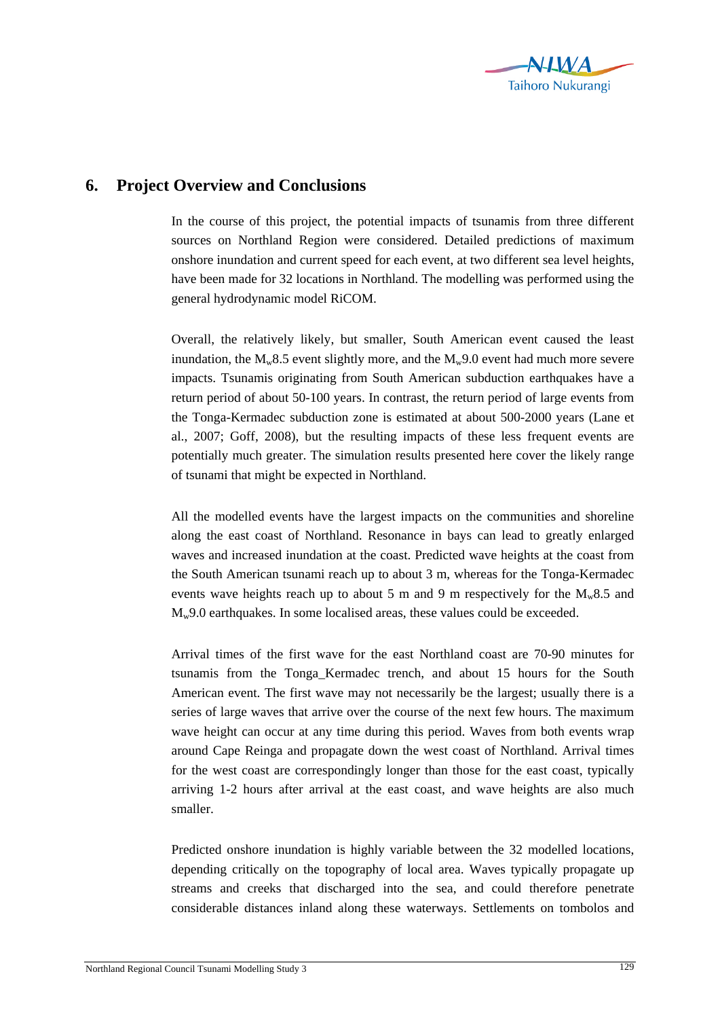

## **6. Project Overview and Conclusions**

In the course of this project, the potential impacts of tsunamis from three different sources on Northland Region were considered. Detailed predictions of maximum onshore inundation and current speed for each event, at two different sea level heights, have been made for 32 locations in Northland. The modelling was performed using the general hydrodynamic model RiCOM.

Overall, the relatively likely, but smaller, South American event caused the least inundation, the  $M_w8.5$  event slightly more, and the  $M_w9.0$  event had much more severe impacts. Tsunamis originating from South American subduction earthquakes have a return period of about 50-100 years. In contrast, the return period of large events from the Tonga-Kermadec subduction zone is estimated at about 500-2000 years (Lane et al., 2007; Goff, 2008), but the resulting impacts of these less frequent events are potentially much greater. The simulation results presented here cover the likely range of tsunami that might be expected in Northland.

All the modelled events have the largest impacts on the communities and shoreline along the east coast of Northland. Resonance in bays can lead to greatly enlarged waves and increased inundation at the coast. Predicted wave heights at the coast from the South American tsunami reach up to about 3 m, whereas for the Tonga-Kermadec events wave heights reach up to about 5 m and 9 m respectively for the  $M_w8.5$  and  $M_w$ 9.0 earthquakes. In some localised areas, these values could be exceeded.

Arrival times of the first wave for the east Northland coast are 70-90 minutes for tsunamis from the Tonga\_Kermadec trench, and about 15 hours for the South American event. The first wave may not necessarily be the largest; usually there is a series of large waves that arrive over the course of the next few hours. The maximum wave height can occur at any time during this period. Waves from both events wrap around Cape Reinga and propagate down the west coast of Northland. Arrival times for the west coast are correspondingly longer than those for the east coast, typically arriving 1-2 hours after arrival at the east coast, and wave heights are also much smaller.

Predicted onshore inundation is highly variable between the 32 modelled locations, depending critically on the topography of local area. Waves typically propagate up streams and creeks that discharged into the sea, and could therefore penetrate considerable distances inland along these waterways. Settlements on tombolos and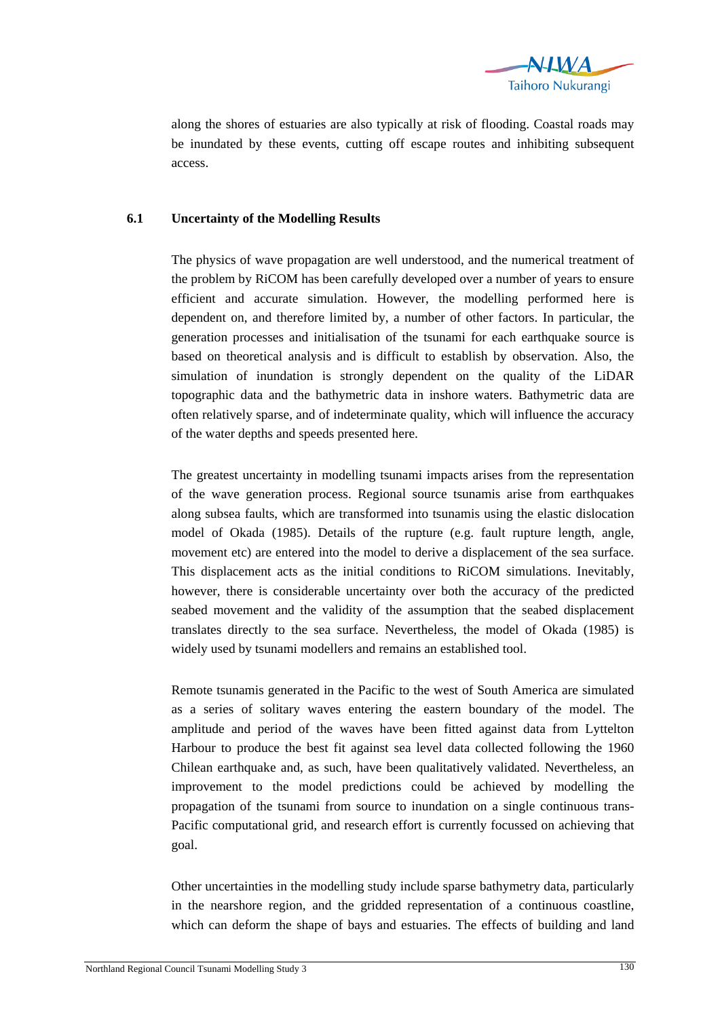

along the shores of estuaries are also typically at risk of flooding. Coastal roads may be inundated by these events, cutting off escape routes and inhibiting subsequent access.

## **6.1 Uncertainty of the Modelling Results**

The physics of wave propagation are well understood, and the numerical treatment of the problem by RiCOM has been carefully developed over a number of years to ensure efficient and accurate simulation. However, the modelling performed here is dependent on, and therefore limited by, a number of other factors. In particular, the generation processes and initialisation of the tsunami for each earthquake source is based on theoretical analysis and is difficult to establish by observation. Also, the simulation of inundation is strongly dependent on the quality of the LiDAR topographic data and the bathymetric data in inshore waters. Bathymetric data are often relatively sparse, and of indeterminate quality, which will influence the accuracy of the water depths and speeds presented here.

The greatest uncertainty in modelling tsunami impacts arises from the representation of the wave generation process. Regional source tsunamis arise from earthquakes along subsea faults, which are transformed into tsunamis using the elastic dislocation model of Okada (1985). Details of the rupture (e.g. fault rupture length, angle, movement etc) are entered into the model to derive a displacement of the sea surface. This displacement acts as the initial conditions to RiCOM simulations. Inevitably, however, there is considerable uncertainty over both the accuracy of the predicted seabed movement and the validity of the assumption that the seabed displacement translates directly to the sea surface. Nevertheless, the model of Okada (1985) is widely used by tsunami modellers and remains an established tool.

Remote tsunamis generated in the Pacific to the west of South America are simulated as a series of solitary waves entering the eastern boundary of the model. The amplitude and period of the waves have been fitted against data from Lyttelton Harbour to produce the best fit against sea level data collected following the 1960 Chilean earthquake and, as such, have been qualitatively validated. Nevertheless, an improvement to the model predictions could be achieved by modelling the propagation of the tsunami from source to inundation on a single continuous trans-Pacific computational grid, and research effort is currently focussed on achieving that goal.

Other uncertainties in the modelling study include sparse bathymetry data, particularly in the nearshore region, and the gridded representation of a continuous coastline, which can deform the shape of bays and estuaries. The effects of building and land